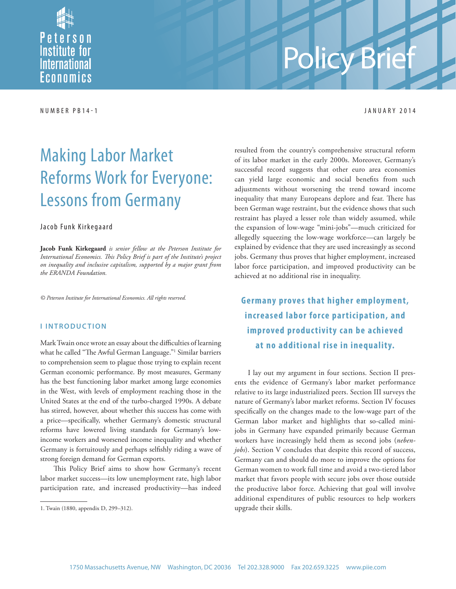

# Policy Brief

NUMBER PB14-1 JANUARY 2014

## Making Labor Market Reforms Work for Everyone: Lessons from Germany

#### Jacob Funk Kirkegaard

**Jacob Funk Kirkegaard** *is senior fellow at the Peterson Institute for*  International Economics. This Policy Brief is part of the Institute's project *on inequality and inclusive capitalism, supported by a major grant from the ERANDA Foundation.*

*© Peterson Institute for International Economics. All rights reserved.*

#### **I INTRODUCTION**

Mark Twain once wrote an essay about the difficulties of learning what he called "The Awful German Language."<sup>1</sup> Similar barriers to comprehension seem to plague those trying to explain recent German economic performance. By most measures, Germany has the best functioning labor market among large economies in the West, with levels of employment reaching those in the United States at the end of the turbo-charged 1990s. A debate has stirred, however, about whether this success has come with a price—specifically, whether Germany's domestic structural reforms have lowered living standards for Germany's lowincome workers and worsened income inequality and whether Germany is fortuitously and perhaps selfishly riding a wave of strong foreign demand for German exports.

This Policy Brief aims to show how Germany's recent labor market success—its low unemployment rate, high labor participation rate, and increased productivity—has indeed

resulted from the country's comprehensive structural reform of its labor market in the early 2000s. Moreover, Germany's successful record suggests that other euro area economies can yield large economic and social benefits from such adjustments without worsening the trend toward income inequality that many Europeans deplore and fear. There has been German wage restraint, but the evidence shows that such restraint has played a lesser role than widely assumed, while the expansion of low-wage "mini-jobs"—much criticized for allegedly squeezing the low-wage workforce—can largely be explained by evidence that they are used increasingly as second jobs. Germany thus proves that higher employment, increased labor force participation, and improved productivity can be achieved at no additional rise in inequality.

**Germany proves that higher employment, increased labor force par ticipation, and improved productivity can be achieved at no additional rise in inequality.**

I lay out my argument in four sections. Section II presents the evidence of Germany's labor market performance relative to its large industrialized peers. Section III surveys the nature of Germany's labor market reforms. Section IV focuses specifically on the changes made to the low-wage part of the German labor market and highlights that so-called minijobs in Germany have expanded primarily because German workers have increasingly held them as second jobs (*nebenjobs*). Section V concludes that despite this record of success, Germany can and should do more to improve the options for German women to work full time and avoid a two-tiered labor market that favors people with secure jobs over those outside the productive labor force. Achieving that goal will involve additional expenditures of public resources to help workers upgrade their skills.

<sup>1.</sup> Twain (1880, appendix D, 299–312).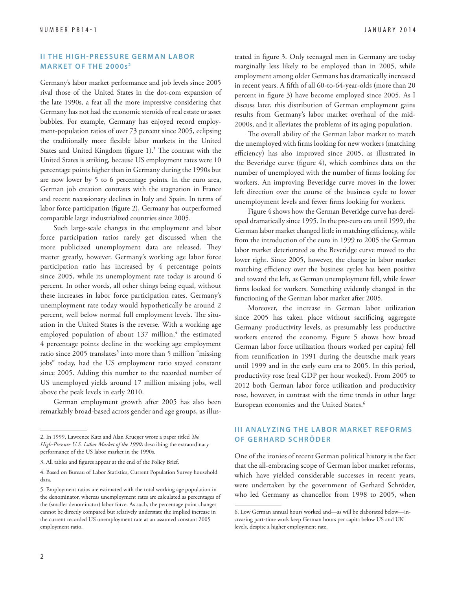#### **II THE HIGH-PRESSURE GERMAN LABOR MARKET OF THE 2000s <sup>2</sup>**

Germany's labor market performance and job levels since 2005 rival those of the United States in the dot-com expansion of the late 1990s, a feat all the more impressive considering that Germany has not had the economic steroids of real estate or asset bubbles. For example, Germany has enjoyed record employment-population ratios of over 73 percent since 2005, eclipsing the traditionally more flexible labor markets in the United States and United Kingdom (figure 1).<sup>3</sup> The contrast with the United States is striking, because US employment rates were 10 percentage points higher than in Germany during the 1990s but are now lower by 5 to 6 percentage points. In the euro area, German job creation contrasts with the stagnation in France and recent recessionary declines in Italy and Spain. In terms of labor force participation (figure 2), Germany has outperformed comparable large industrialized countries since 2005.

Such large-scale changes in the employment and labor force participation ratios rarely get discussed when the more publicized unemployment data are released. They matter greatly, however. Germany's working age labor force participation ratio has increased by 4 percentage points since 2005, while its unemployment rate today is around 6 percent. In other words, all other things being equal, without these increases in labor force participation rates, Germany's unemployment rate today would hypothetically be around 2 percent, well below normal full employment levels. The situation in the United States is the reverse. With a working age employed population of about 137 million,<sup>4</sup> the estimated 4 percentage points decline in the working age employment ratio since 2005 translates<sup>5</sup> into more than 5 million "missing jobs" today, had the US employment ratio stayed constant since 2005. Adding this number to the recorded number of US unemployed yields around 17 million missing jobs, well above the peak levels in early 2010.

German employment growth after 2005 has also been remarkably broad-based across gender and age groups, as illustrated in figure 3. Only teenaged men in Germany are today marginally less likely to be employed than in 2005, while employment among older Germans has dramatically increased in recent years. A fifth of all 60-to-64-year-olds (more than 20 percent in figure 3) have become employed since 2005. As I discuss later, this distribution of German employment gains results from Germany's labor market overhaul of the mid-2000s, and it alleviates the problems of its aging population.

The overall ability of the German labor market to match the unemployed with firms looking for new workers (matching efficiency) has also improved since 2005, as illustrated in the Beveridge curve (figure 4), which combines data on the number of unemployed with the number of firms looking for workers. An improving Beveridge curve moves in the lower left direction over the course of the business cycle to lower unemployment levels and fewer firms looking for workers.

Figure 4 shows how the German Beveridge curve has developed dramatically since 1995. In the pre-euro era until 1999, the German labor market changed little in matching efficiency, while from the introduction of the euro in 1999 to 2005 the German labor market deteriorated as the Beveridge curve moved to the lower right. Since 2005, however, the change in labor market matching efficiency over the business cycles has been positive and toward the left, as German unemployment fell, while fewer firms looked for workers. Something evidently changed in the functioning of the German labor market after 2005.

Moreover, the increase in German labor utilization since 2005 has taken place without sacrificing aggregate Germany productivity levels, as presumably less productive workers entered the economy. Figure 5 shows how broad German labor force utilization (hours worked per capita) fell from reunification in 1991 during the deutsche mark years until 1999 and in the early euro era to 2005. In this period, productivity rose (real GDP per hour worked). From 2005 to 2012 both German labor force utilization and productivity rose, however, in contrast with the time trends in other large European economies and the United States.<sup>6</sup>

#### **III ANALYZING THE LABOR MARKET REFORMS OF GERHARD SCHRÖDER**

One of the ironies of recent German political history is the fact that the all-embracing scope of German labor market reforms, which have yielded considerable successes in recent years, were undertaken by the government of Gerhard Schröder, who led Germany as chancellor from 1998 to 2005, when

<sup>2.</sup> In 1999, Lawrence Katz and Alan Krueger wrote a paper titled *The High-Pressure U.S. Labor Market of the 1990s* describing the extraordinary performance of the US labor market in the 1990s.

<sup>3.</sup> All tables and figures appear at the end of the Policy Brief.

<sup>4.</sup> Based on Bureau of Labor Statistics, Current Population Survey household data.

<sup>5.</sup> Employment ratios are estimated with the total working age population in the denominator, whereas unemployment rates are calculated as percentages of the (smaller denominator) labor force. As such, the percentage point changes cannot be directly compared but relatively understate the implied increase in the current recorded US unemployment rate at an assumed constant 2005 employment ratio.

<sup>6.</sup> Low German annual hours worked and—as will be elaborated below—increasing part-time work keep German hours per capita below US and UK levels, despite a higher employment rate.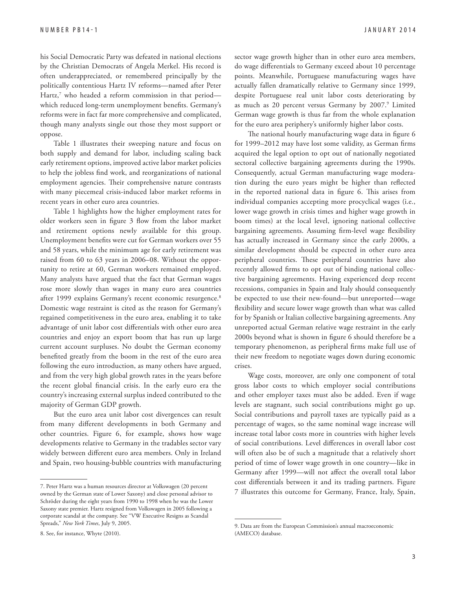his Social Democratic Party was defeated in national elections by the Christian Democrats of Angela Merkel. His record is often underappreciated, or remembered principally by the politically contentious Hartz IV reforms—named after Peter Hartz,<sup>7</sup> who headed a reform commission in that period which reduced long-term unemployment benefits. Germany's reforms were in fact far more comprehensive and complicated, though many analysts single out those they most support or oppose.

Table 1 illustrates their sweeping nature and focus on both supply and demand for labor, including scaling back early retirement options, improved active labor market policies to help the jobless find work, and reorganizations of national employment agencies. Their comprehensive nature contrasts with many piecemeal crisis-induced labor market reforms in recent years in other euro area countries.

Table 1 highlights how the higher employment rates for older workers seen in figure 3 flow from the labor market and retirement options newly available for this group. Unemployment benefits were cut for German workers over 55 and 58 years, while the minimum age for early retirement was raised from 60 to 63 years in 2006–08. Without the opportunity to retire at 60, German workers remained employed. Many analysts have argued that the fact that German wages rose more slowly than wages in many euro area countries after 1999 explains Germany's recent economic resurgence.<sup>8</sup> Domestic wage restraint is cited as the reason for Germany's regained competitiveness in the euro area, enabling it to take advantage of unit labor cost differentials with other euro area countries and enjoy an export boom that has run up large current account surpluses. No doubt the German economy benefited greatly from the boom in the rest of the euro area following the euro introduction, as many others have argued, and from the very high global growth rates in the years before the recent global financial crisis. In the early euro era the country's increasing external surplus indeed contributed to the majority of German GDP growth.

But the euro area unit labor cost divergences can result from many different developments in both Germany and other countries. Figure 6, for example, shows how wage developments relative to Germany in the tradables sector vary widely between different euro area members. Only in Ireland and Spain, two housing-bubble countries with manufacturing sector wage growth higher than in other euro area members, do wage differentials to Germany exceed about 10 percentage points. Meanwhile, Portuguese manufacturing wages have actually fallen dramatically relative to Germany since 1999, despite Portuguese real unit labor costs deteriorating by as much as 20 percent versus Germany by 2007.<sup>9</sup> Limited German wage growth is thus far from the whole explanation for the euro area periphery's uniformly higher labor costs.

The national hourly manufacturing wage data in figure 6 for 1999–2012 may have lost some validity, as German firms acquired the legal option to opt out of nationally negotiated sectoral collective bargaining agreements during the 1990s. Consequently, actual German manufacturing wage moderation during the euro years might be higher than reflected in the reported national data in figure 6. This arises from individual companies accepting more procyclical wages (i.e., lower wage growth in crisis times and higher wage growth in boom times) at the local level, ignoring national collective bargaining agreements. Assuming firm-level wage flexibility has actually increased in Germany since the early 2000s, a similar development should be expected in other euro area peripheral countries. These peripheral countries have also recently allowed firms to opt out of binding national collective bargaining agreements. Having experienced deep recent recessions, companies in Spain and Italy should consequently be expected to use their new-found—but unreported—wage flexibility and secure lower wage growth than what was called for by Spanish or Italian collective bargaining agreements. Any unreported actual German relative wage restraint in the early 2000s beyond what is shown in figure 6 should therefore be a temporary phenomenon, as peripheral firms make full use of their new freedom to negotiate wages down during economic crises.

Wage costs, moreover, are only one component of total gross labor costs to which employer social contributions and other employer taxes must also be added. Even if wage levels are stagnant, such social contributions might go up. Social contributions and payroll taxes are typically paid as a percentage of wages, so the same nominal wage increase will increase total labor costs more in countries with higher levels of social contributions. Level differences in overall labor cost will often also be of such a magnitude that a relatively short period of time of lower wage growth in one country—like in Germany after 1999—will not affect the overall total labor cost differentials between it and its trading partners. Figure 7 illustrates this outcome for Germany, France, Italy, Spain,

<sup>7.</sup> Peter Hartz was a human resources director at Volkswagen (20 percent owned by the German state of Lower Saxony) and close personal advisor to Schröder during the eight years from 1990 to 1998 when he was the Lower Saxony state premier. Hartz resigned from Volkswagen in 2005 following a corporate scandal at the company. See "VW Executive Resigns as Scandal Spreads," *New York Times*, July 9, 2005.

<sup>8.</sup> See, for instance, Whyte (2010).

<sup>9.</sup> Data are from the European Commission's annual macroeconomic (AMECO) database.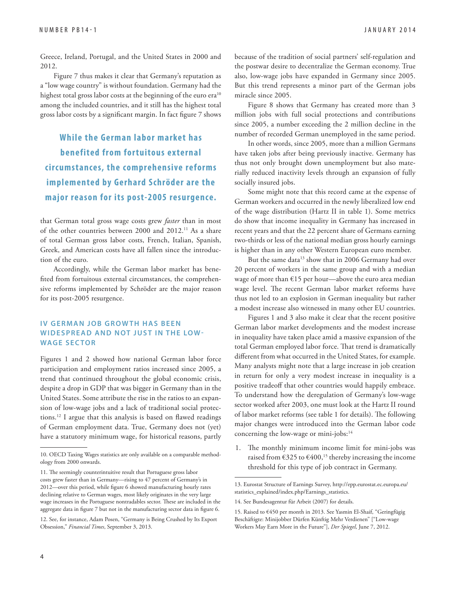Greece, Ireland, Portugal, and the United States in 2000 and 2012.

Figure 7 thus makes it clear that Germany's reputation as a "low wage country" is without foundation. Germany had the highest total gross labor costs at the beginning of the euro era<sup>10</sup> among the included countries, and it still has the highest total gross labor costs by a significant margin. In fact figure 7 shows

**While the German labor market has benefited from for tuitous external circ umstances, the comprehensive reforms implemented by Gerhard S chröder are the major reason for its post-2005 resurgence.** 

that German total gross wage costs grew *faster* than in most of the other countries between 2000 and 2012.11 As a share of total German gross labor costs, French, Italian, Spanish, Greek, and American costs have all fallen since the introduction of the euro.

Accordingly, while the German labor market has benefited from fortuitous external circumstances, the comprehensive reforms implemented by Schröder are the major reason for its post-2005 resurgence.

#### **IV GERMAN JOB GROWTH HAS BEEN WIDESPREAD AND NOT JUST IN THE LOW-WAGE SECTOR**

Figures 1 and 2 showed how national German labor force participation and employment ratios increased since 2005, a trend that continued throughout the global economic crisis, despite a drop in GDP that was bigger in Germany than in the United States. Some attribute the rise in the ratios to an expansion of low-wage jobs and a lack of traditional social protections.<sup>12</sup> I argue that this analysis is based on flawed readings of German employment data. True, Germany does not (yet) have a statutory minimum wage, for historical reasons, partly because of the tradition of social partners' self-regulation and the postwar desire to decentralize the German economy. True also, low-wage jobs have expanded in Germany since 2005. But this trend represents a minor part of the German jobs miracle since 2005.

Figure 8 shows that Germany has created more than 3 million jobs with full social protections and contributions since 2005, a number exceeding the 2 million decline in the number of recorded German unemployed in the same period.

In other words, since 2005, more than a million Germans have taken jobs after being previously inactive. Germany has thus not only brought down unemployment but also materially reduced inactivity levels through an expansion of fully socially insured jobs.

Some might note that this record came at the expense of German workers and occurred in the newly liberalized low end of the wage distribution (Hartz II in table 1). Some metrics do show that income inequality in Germany has increased in recent years and that the 22 percent share of Germans earning two-thirds or less of the national median gross hourly earnings is higher than in any other Western European euro member.

But the same data<sup>13</sup> show that in 2006 Germany had over 20 percent of workers in the same group and with a median wage of more than €15 per hour—above the euro area median wage level. The recent German labor market reforms have thus not led to an explosion in German inequality but rather a modest increase also witnessed in many other EU countries.

Figures 1 and 3 also make it clear that the recent positive German labor market developments and the modest increase in inequality have taken place amid a massive expansion of the total German employed labor force. That trend is dramatically different from what occurred in the United States, for example. Many analysts might note that a large increase in job creation in return for only a very modest increase in inequality is a positive tradeoff that other countries would happily embrace. To understand how the deregulation of Germany's low-wage sector worked after 2003, one must look at the Hartz II round of labor market reforms (see table 1 for details). The following major changes were introduced into the German labor code concerning the low-wage or mini-jobs:<sup>14</sup>

1. The monthly minimum income limit for mini-jobs was raised from  $\epsilon$ 325 to  $\epsilon$ 400,<sup>15</sup> thereby increasing the income threshold for this type of job contract in Germany.

[13. Eurostat Structure of Earnings Survey, http://epp.eurostat.ec.europa.eu/](http://epp.eurostat.ec.europa.eu/statistics_explained/index.php/Earnings_statistics) statistics\_explained/index.php/Earnings\_statistics.

<sup>10.</sup> OECD Taxing Wages statistics are only available on a comparable methodology from 2000 onwards.

<sup>11.</sup> The seemingly counterintuitive result that Portuguese gross labor costs grew faster than in Germany—rising to 47 percent of Germany's in 2012—over this period, while figure 6 showed manufacturing hourly rates declining relative to German wages, most likely originates in the very large wage increases in the Portuguese nontradables sector. These are included in the aggregate data in figure 7 but not in the manufacturing sector data in figure 6.

<sup>12.</sup> See, for instance, Adam Posen, "Germany is Being Crushed by Its Export Obsession," *Financial Times*, September 3, 2013.

<sup>14.</sup> See Bundesagentur für Arbeit (2007) for details.

<sup>15.</sup> Raised to €450 per month in 2013. See Yasmin El-Shaif, "Geringfügig Beschäftigte: Minijobber Dürfen Künftig Mehr Verdienen" ["Low-wage Workers May Earn More in the Future"], *Der Spiegel*, June 7, 2012.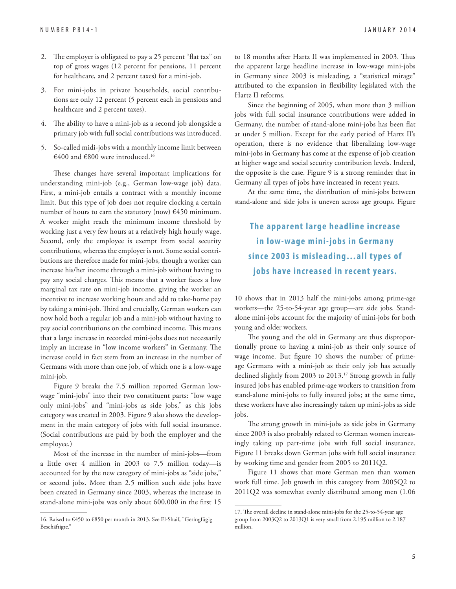- 2. The employer is obligated to pay a 25 percent "flat tax" on top of gross wages (12 percent for pensions, 11 percent for healthcare, and 2 percent taxes) for a mini-job.
- 3. For mini-jobs in private households, social contributions are only 12 percent (5 percent each in pensions and healthcare and 2 percent taxes).
- 4. The ability to have a mini-job as a second job alongside a primary job with full social contributions was introduced.
- 5. So-called midi-jobs with a monthly income limit between €400 and €800 were introduced.<sup>16</sup>

These changes have several important implications for understanding mini-job (e.g., German low-wage job) data. First, a mini-job entails a contract with a monthly income limit. But this type of job does not require clocking a certain number of hours to earn the statutory (now)  $\epsilon$ 450 minimum. A worker might reach the minimum income threshold by working just a very few hours at a relatively high hourly wage. Second, only the employee is exempt from social security contributions, whereas the employer is not. Some social contributions are therefore made for mini-jobs, though a worker can increase his/her income through a mini-job without having to pay any social charges. This means that a worker faces a low marginal tax rate on mini-job income, giving the worker an incentive to increase working hours and add to take-home pay by taking a mini-job. Third and crucially, German workers can now hold both a regular job and a mini-job without having to pay social contributions on the combined income. This means that a large increase in recorded mini-jobs does not necessarily imply an increase in "low income workers" in Germany. The increase could in fact stem from an increase in the number of Germans with more than one job, of which one is a low-wage mini-job.

Figure 9 breaks the 7.5 million reported German lowwage "mini-jobs" into their two constituent parts: "low wage only mini-jobs" and "mini-jobs as side jobs," as this jobs category was created in 2003. Figure 9 also shows the development in the main category of jobs with full social insurance. (Social contributions are paid by both the employer and the employee.)

Most of the increase in the number of mini-jobs—from a little over 4 million in 2003 to 7.5 million today—is accounted for by the new category of mini-jobs as "side jobs," or second jobs. More than 2.5 million such side jobs have been created in Germany since 2003, whereas the increase in stand-alone mini-jobs was only about 600,000 in the first 15 to 18 months after Hartz II was implemented in 2003. Thus the apparent large headline increase in low-wage mini-jobs in Germany since 2003 is misleading, a "statistical mirage" attributed to the expansion in flexibility legislated with the Hartz II reforms.

Since the beginning of 2005, when more than 3 million jobs with full social insurance contributions were added in Germany, the number of stand-alone mini-jobs has been flat at under 5 million. Except for the early period of Hartz II's operation, there is no evidence that liberalizing low-wage mini-jobs in Germany has come at the expense of job creation at higher wage and social security contribution levels. Indeed, the opposite is the case. Figure 9 is a strong reminder that in Germany all types of jobs have increased in recent years.

At the same time, the distribution of mini-jobs between stand-alone and side jobs is uneven across age groups. Figure

### **The apparent large headline increase in low-wage mini-jobs in Germany since 2003 is misleading…all types of jobs have increased in recent years.**

10 shows that in 2013 half the mini-jobs among prime-age workers—the 25-to-54-year age group—are side jobs. Standalone mini-jobs account for the majority of mini-jobs for both young and older workers.

The young and the old in Germany are thus disproportionally prone to having a mini-job as their only source of wage income. But figure 10 shows the number of primeage Germans with a mini-job as their only job has actually declined slightly from 2003 to 2013.<sup>17</sup> Strong growth in fully insured jobs has enabled prime-age workers to transition from stand-alone mini-jobs to fully insured jobs; at the same time, these workers have also increasingly taken up mini-jobs as side jobs.

The strong growth in mini-jobs as side jobs in Germany since 2003 is also probably related to German women increasingly taking up part-time jobs with full social insurance. Figure 11 breaks down German jobs with full social insurance by working time and gender from 2005 to 2011Q2.

Figure 11 shows that more German men than women work full time. Job growth in this category from 2005Q2 to 2011Q2 was somewhat evenly distributed among men (1.06

<sup>16.</sup> Raised to €450 to €850 per month in 2013. See El-Shaif, "Geringfügig Beschäftigte."

<sup>17.</sup> The overall decline in stand-alone mini-jobs for the 25-to-54-year age group from 2003Q2 to 2013Q1 is very small from 2.195 million to 2.187 million.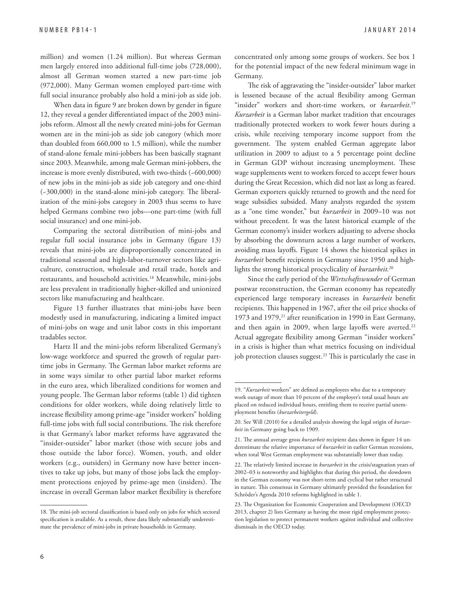million) and women (1.24 million). But whereas German men largely entered into additional full-time jobs (728,000), almost all German women started a new part-time job (972,000). Many German women employed part-time with full social insurance probably also hold a mini-job as side job.

When data in figure 9 are broken down by gender in figure 12, they reveal a gender differentiated impact of the 2003 minijobs reform. Almost all the newly created mini-jobs for German women are in the mini-job as side job category (which more than doubled from 660,000 to 1.5 million), while the number of stand-alone female mini-jobbers has been basically stagnant since 2003. Meanwhile, among male German mini-jobbers, the increase is more evenly distributed, with two-thirds (~600,000) of new jobs in the mini-job as side job category and one-third  $(-300,000)$  in the stand-alone mini-job category. The liberalization of the mini-jobs category in 2003 thus seems to have helped Germans combine two jobs—one part-time (with full social insurance) and one mini-job.

Comparing the sectoral distribution of mini-jobs and regular full social insurance jobs in Germany (figure 13) reveals that mini-jobs are disproportionally concentrated in traditional seasonal and high-labor-turnover sectors like agriculture, construction, wholesale and retail trade, hotels and restaurants, and household activities.18 Meanwhile, mini-jobs are less prevalent in traditionally higher-skilled and unionized sectors like manufacturing and healthcare.

Figure 13 further illustrates that mini-jobs have been modestly used in manufacturing, indicating a limited impact of mini-jobs on wage and unit labor costs in this important tradables sector.

Hartz II and the mini-jobs reform liberalized Germany's low-wage workforce and spurred the growth of regular parttime jobs in Germany. The German labor market reforms are in some ways similar to other partial labor market reforms in the euro area, which liberalized conditions for women and young people. The German labor reforms (table 1) did tighten conditions for older workers, while doing relatively little to increase flexibility among prime-age "insider workers" holding full-time jobs with full social contributions. The risk therefore is that Germany's labor market reforms have aggravated the "insider-outsider" labor market (those with secure jobs and those outside the labor force). Women, youth, and older workers (e.g., outsiders) in Germany now have better incentives to take up jobs, but many of those jobs lack the employment protections enjoyed by prime-age men (insiders). The increase in overall German labor market flexibility is therefore concentrated only among some groups of workers. See box 1 for the potential impact of the new federal minimum wage in Germany.

The risk of aggravating the "insider-outsider" labor market is lessened because of the actual flexibility among German "insider" workers and short-time workers, or *kurzarbeit*. 19 *Kurzarbeit* is a German labor market tradition that encourages traditionally protected workers to work fewer hours during a crisis, while receiving temporary income support from the government. The system enabled German aggregate labor utilization in 2009 to adjust to a 5 percentage point decline in German GDP without increasing unemployment. These wage supplements went to workers forced to accept fewer hours during the Great Recession, which did not last as long as feared. German exporters quickly returned to growth and the need for wage subsidies subsided. Many analysts regarded the system as a "one time wonder," but *kurzarbeit* in 2009–10 was not without precedent. It was the latest historical example of the German economy's insider workers adjusting to adverse shocks by absorbing the downturn across a large number of workers, avoiding mass layoffs. Figure 14 shows the historical spikes in *kurzarbeit* benefit recipients in Germany since 1950 and highlights the strong historical procyclicality of *kurzarbeit.*<sup>20</sup>

Since the early period of the *Wirtschaftswunder* of German postwar reconstruction, the German economy has repeatedly experienced large temporary increases in *kurzarbeit* benefit recipients. This happened in 1967, after the oil price shocks of 1973 and 1979,<sup>21</sup> after reunification in 1990 in East Germany, and then again in 2009, when large layoffs were averted.<sup>22</sup> Actual aggregate flexibility among German "insider workers" in a crisis is higher than what metrics focusing on individual job protection clauses suggest.<sup>23</sup> This is particularly the case in

<sup>18.</sup> The mini-job sectoral classification is based only on jobs for which sectoral specification is available. As a result, these data likely substantially underestimate the prevalence of mini-jobs in private households in Germany.

<sup>19. &</sup>quot;*Kurzarbeit* workers" are defined as employees who due to a temporary work outage of more than 10 percent of the employer's total usual hours are placed on reduced individual hours, entitling them to receive partial unemployment benefits (kurzarbeitergeld).

<sup>20.</sup> See Will (2010) for a detailed analysis showing the legal origin of *kurzarbeit* in Germany going back to 1909.

<sup>21.</sup> The annual average gross *kurzarbeit* recipient data shown in figure 14 underestimate the relative importance of *kurzarbeit* in earlier German recessions, when total West German employment was substantially lower than today.

<sup>22.</sup> The relatively limited increase in *kurzarbeit* in the crisis/stagnation years of 2002–03 is noteworthy and highlights that during this period, the slowdown in the German economy was not short-term and cyclical but rather structural in nature. This consensus in Germany ultimately provided the foundation for Schröder's Agenda 2010 reforms highlighted in table 1.

<sup>23.</sup> The Organization for Economic Cooperation and Development (OECD 2013, chapter 2) lists Germany as having the most rigid employment protection legislation to protect permanent workers against individual and collective dismissals in the OECD today.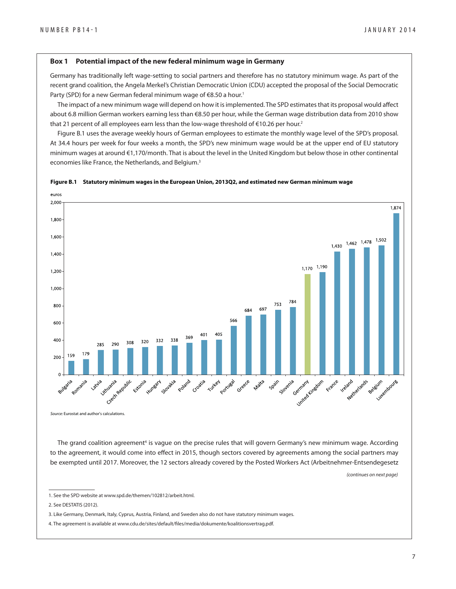#### **Box 1 Potential impact of the new federal minimum wage in Germany**

Germany has traditionally left wage-setting to social partners and therefore has no statutory minimum wage. As part of the recent grand coalition, the Angela Merkel's Christian Democratic Union (CDU) accepted the proposal of the Social Democratic Party (SPD) for a new German federal minimum wage of €8.50 a hour.<sup>1</sup>

The impact of a new minimum wage will depend on how it is implemented. The SPD estimates that its proposal would affect about 6.8 million German workers earning less than €8.50 per hour, while the German wage distribution data from 2010 show that 21 percent of all employees earn less than the low-wage threshold of €10.26 per hour.<sup>2</sup>

Figure B.1 uses the average weekly hours of German employees to estimate the monthly wage level of the SPD's proposal. At 34.4 hours per week for four weeks a month, the SPD's new minimum wage would be at the upper end of EU statutory minimum wages at around €1,170/month. That is about the level in the United Kingdom but below those in other continental economies like France, the Netherlands, and Belgium.<sup>3</sup>





Source: Eurostat and author's calculations.

The grand coalition agreement<sup>4</sup> is vague on the precise rules that will govern Germany's new minimum wage. According to the agreement, it would come into effect in 2015, though sectors covered by agreements among the social partners may be exempted until 2017. Moreover, the 12 sectors already covered by the Posted Workers Act (Arbeitnehmer-Entsendegesetz

(continues on next page)

<sup>1.</sup> See the SPD website at www.spd.de/themen/102812/arbeit.html.

<sup>2.</sup> See DESTATIS (2012).

<sup>3.</sup> Like Germany, Denmark, Italy, Cyprus, Austria, Finland, and Sweden also do not have statutory minimum wages.

<sup>4.</sup> The agreement is available at www.cdu.de/sites/default/files/media/dokumente/koalitionsvertrag.pdf.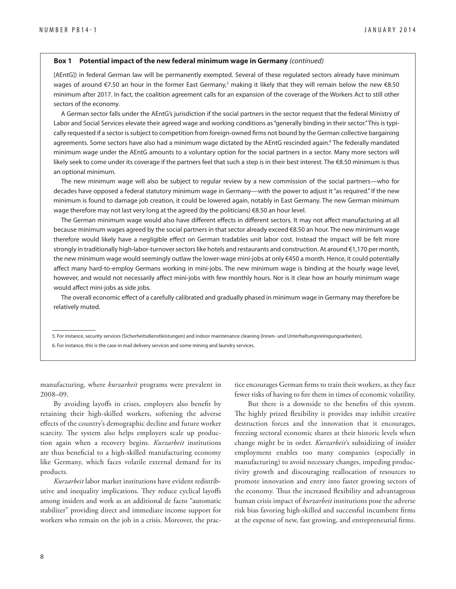#### **Box 1 Potential impact of the new federal minimum wage in Germany** (continued)

[AEntG]) in federal German law will be permanently exempted. Several of these regulated sectors already have minimum wages of around €7.50 an hour in the former East Germany,<sup>5</sup> making it likely that they will remain below the new €8.50 minimum after 2017. In fact, the coalition agreement calls for an expansion of the coverage of the Workers Act to still other sectors of the economy.

A German sector falls under the AEntG's jurisdiction if the social partners in the sector request that the federal Ministry of Labor and Social Services elevate their agreed wage and working conditions as "generally binding in their sector." This is typically requested if a sector is subject to competition from foreign-owned firms not bound by the German collective bargaining agreements. Some sectors have also had a minimum wage dictated by the AEntG rescinded again.<sup>6</sup> The federally mandated minimum wage under the AEntG amounts to a voluntary option for the social partners in a sector. Many more sectors will likely seek to come under its coverage if the partners feel that such a step is in their best interest. The €8.50 minimum is thus an optional minimum.

The new minimum wage will also be subject to regular review by a new commission of the social partners—who for decades have opposed a federal statutory minimum wage in Germany—with the power to adjust it "as required." If the new minimum is found to damage job creation, it could be lowered again, notably in East Germany. The new German minimum wage therefore may not last very long at the agreed (by the politicians) €8.50 an hour level.

The German minimum wage would also have different effects in different sectors. It may not affect manufacturing at all because minimum wages agreed by the social partners in that sector already exceed €8.50 an hour. The new minimum wage therefore would likely have a negligible effect on German tradables unit labor cost. Instead the impact will be felt more strongly in traditionally high-labor-turnover sectors like hotels and restaurants and construction. At around €1,170 per month, the new minimum wage would seemingly outlaw the lower-wage mini-jobs at only €450 a month. Hence, it could potentially affect many hard-to-employ Germans working in mini-jobs. The new minimum wage is binding at the hourly wage level, however, and would not necessarily affect mini-jobs with few monthly hours. Nor is it clear how an hourly minimum wage would affect mini-jobs as side jobs.

The overall economic effect of a carefully calibrated and gradually phased in minimum wage in Germany may therefore be relatively muted.

5. For instance, security services (Sicherheitsdienstleistungen) and indoor maintenance cleaning (Innen- und Unterhaltungsreinigungsarbeiten). 6. For instance, this is the case in mail delivery services and some mining and laundry services.

manufacturing, where *kurzarbeit* programs were prevalent in 2008–09.

By avoiding layoffs in crises, employers also benefit by retaining their high-skilled workers, softening the adverse effects of the country's demographic decline and future worker scarcity. The system also helps employers scale up production again when a recovery begins. *Kurzarbeit* institutions are thus beneficial to a high-skilled manufacturing economy like Germany, which faces volatile external demand for its products.

*Kurzarbeit* labor market institutions have evident redistributive and inequality implications. They reduce cyclical layoffs among insiders and work as an additional de facto "automatic stabilizer" providing direct and immediate income support for workers who remain on the job in a crisis. Moreover, the practice encourages German firms to train their workers, as they face fewer risks of having to fire them in times of economic volatility.

But there is a downside to the benefits of this system. The highly prized flexibility it provides may inhibit creative destruction forces and the innovation that it encourages, freezing sectoral economic shares at their historic levels when change might be in order. *Kurzarbeit*'s subsidizing of insider employment enables too many companies (especially in manufacturing) to avoid necessary changes, impeding productivity growth and discouraging reallocation of resources to promote innovation and entry into faster growing sectors of the economy. Thus the increased flexibility and advantageous human crisis impact of *kurzarbeit* institutions pose the adverse risk bias favoring high-skilled and successful incumbent firms at the expense of new, fast growing, and entrepreneurial firms.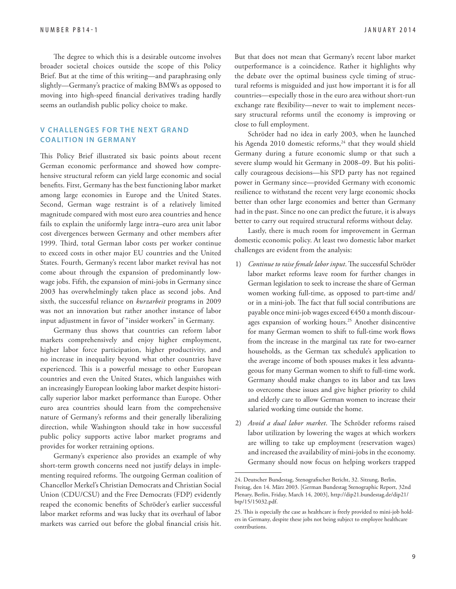The degree to which this is a desirable outcome involves broader societal choices outside the scope of this Policy Brief. But at the time of this writing—and paraphrasing only slightly—Germany's practice of making BMWs as opposed to moving into high-speed financial derivatives trading hardly seems an outlandish public policy choice to make.

#### **V CHALLENGES FOR THE NEXT GRAND COALITION IN GERMANY**

This Policy Brief illustrated six basic points about recent German economic performance and showed how comprehensive structural reform can yield large economic and social benefits. First, Germany has the best functioning labor market among large economies in Europe and the United States. Second, German wage restraint is of a relatively limited magnitude compared with most euro area countries and hence fails to explain the uniformly large intra–euro area unit labor cost divergences between Germany and other members after 1999. Third, total German labor costs per worker continue to exceed costs in other major EU countries and the United States. Fourth, Germany's recent labor market revival has not come about through the expansion of predominantly lowwage jobs. Fifth, the expansion of mini-jobs in Germany since 2003 has overwhelmingly taken place as second jobs. And sixth, the successful reliance on *kurzarbeit* programs in 2009 was not an innovation but rather another instance of labor input adjustment in favor of "insider workers" in Germany.

Germany thus shows that countries can reform labor markets comprehensively and enjoy higher employment, higher labor force participation, higher productivity, and no increase in inequality beyond what other countries have experienced. This is a powerful message to other European countries and even the United States, which languishes with an increasingly European looking labor market despite historically superior labor market performance than Europe. Other euro area countries should learn from the comprehensive nature of Germany's reforms and their generally liberalizing direction, while Washington should take in how successful public policy supports active labor market programs and provides for worker retraining options.

Germany's experience also provides an example of why short-term growth concerns need not justify delays in implementing required reforms. The outgoing German coalition of Chancellor Merkel's Christian Democrats and Christian Social Union (CDU/CSU) and the Free Democrats (FDP) evidently reaped the economic benefits of Schröder's earlier successful labor market reforms and was lucky that its overhaul of labor markets was carried out before the global financial crisis hit.

But that does not mean that Germany's recent labor market outperformance is a coincidence. Rather it highlights why the debate over the optimal business cycle timing of structural reforms is misguided and just how important it is for all countries—especially those in the euro area without short-run exchange rate flexibility—never to wait to implement necessary structural reforms until the economy is improving or close to full employment.

Schröder had no idea in early 2003, when he launched his Agenda 2010 domestic reforms,<sup>24</sup> that they would shield Germany during a future economic slump or that such a severe slump would hit Germany in 2008–09. But his politically courageous decisions—his SPD party has not regained power in Germany since—provided Germany with economic resilience to withstand the recent very large economic shocks better than other large economies and better than Germany had in the past. Since no one can predict the future, it is always better to carry out required structural reforms without delay.

Lastly, there is much room for improvement in German domestic economic policy. At least two domestic labor market challenges are evident from the analysis:

- 1) *Continue to raise female labor input*. The successful Schröder labor market reforms leave room for further changes in German legislation to seek to increase the share of German women working full-time, as opposed to part-time and/ or in a mini-job. The fact that full social contributions are payable once mini-job wages exceed €450 a month discourages expansion of working hours.25 Another disincentive for many German women to shift to full-time work flows from the increase in the marginal tax rate for two-earner households, as the German tax schedule's application to the average income of both spouses makes it less advantageous for many German women to shift to full-time work. Germany should make changes to its labor and tax laws to overcome these issues and give higher priority to child and elderly care to allow German women to increase their salaried working time outside the home.
- 2) *Avoid a dual labor market*. The Schröder reforms raised labor utilization by lowering the wages at which workers are willing to take up employment (reservation wages) and increased the availability of mini-jobs in the economy. Germany should now focus on helping workers trapped

<sup>24.</sup> Deutscher Bundestag, Stenografischer Bericht, 32. Sitzung, Berlin, Freitag, den 14. März 2003. [German Bundestag Stenographic Report, 32nd [Plenary, Berlin, Friday, March 14, 2003\], http://dip21.bundestag.de/dip21/](http://dip21.bundestag.de/dip21/btp/15/15032.pdf) btp/15/15032.pdf.

<sup>25.</sup> This is especially the case as healthcare is freely provided to mini-job holders in Germany, despite these jobs not being subject to employee healthcare contributions.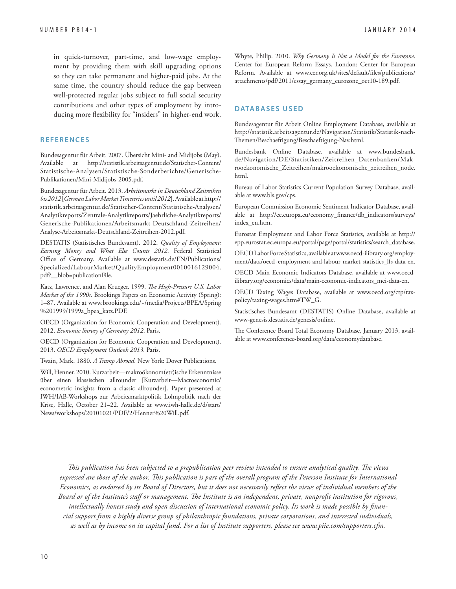in quick-turnover, part-time, and low-wage employment by providing them with skill upgrading options so they can take permanent and higher-paid jobs. At the same time, the country should reduce the gap between well-protected regular jobs subject to full social security contributions and other types of employment by introducing more flexibility for "insiders" in higher-end work.

#### **R E F E R E N C E S**

Bundesagentur für Arbeit. 2007. Übersicht Mini- and Midijobs (May). [Available at http://statistik.arbeitsagentur.de/Statischer-Content/](http://statistik.arbeitsagentur.de/Statischer-Content/Statistische-Analysen/Statistische-Sonderberichte/Generische-Publikationen/Mini-Midijobs-2005.pdf) Statistische-Analysen/Statistische-Sonderberichte/Generische-Publikationen/Mini-Midijobs-2005.pdf.

Bundesagentur für Arbeit. 2013. *Arbeitsmarkt in Deutschland Zeitreihen bis 2012* [*German Labor Market Timeseries until 2012*]. Available at http:// [statistik.arbeitsagentur.de/Statischer-Content/Statistische-Analysen/](http://statistik.arbeitsagentur.de/Statischer-Content/Statistische-Analysen/Analytikreports/Zentrale-Analytikreports/Jaehrliche-Analytikreports/Generische-Publikationen/Arbeitsmarkt-Deutschland-Zeitreihen/Analyse-Arbeitsmarkt-Deutschland-Zeitreihen-2012.pdf) Analytikreports/Zentrale-Analytikreports/Jaehrliche-Analytikreports/ Generische-Publikationen/Arbeitsmarkt-Deutschland-Zeitreihen/ Analyse-Arbeitsmarkt-Deutschland-Zeitreihen-2012.pdf.

DESTATIS (Statistisches Bundesamt). 2012. *Quality of Employment: Earning Money and What Else Counts 2012*. Federal Statistical Office of Germany. Available at www.destatis.de/EN/Publications/ Specialized/LabourMarket/QualityEmployment0010016129004. pdf?\_\_blob=publicationFile.

Katz, Lawrence, and Alan Krueger. 1999. *The High-Pressure U.S. Labor Market of the 1990s*. Brookings Papers on Economic Activity (Spring): [1–87. Available at www.brookings.edu/~/media/Projects/BPEA/Spring](www.brookings.edu/~/media/Projects/BPEA/Spring %201999/1999a_bpea_katz.PDF)  %201999/1999a\_bpea\_katz.PDF.

OECD (Organization for Economic Cooperation and Development). 2012. *Economic Survey of Germany 2012*. Paris.

OECD (Organization for Economic Cooperation and Development). 2013. *OECD Employment Outlook 2013*. Paris.

Twain, Mark. 1880. *A Tramp Abroad*. New York: Dover Publications.

Will, Henner. 2010. Kurzarbeit—makroökonom(etr)ische Erkenntnisse über einen klassischen allrounder [Kurzarbeit—Macroeconomic/ econometric insights from a classic allrounder]. Paper presented at IWH/IAB-Workshops zur Arbeitsmarktpolitik Lohnpolitik nach der [Krise, Halle, October 21–22. Available at www.iwh-halle.de/d/start/](www.iwh-halle.de/d/start/News/workshops/20101021/PDF/2/Henner%20Will.pdf) News/workshops/20101021/PDF/2/Henner%20Will.pdf.

Whyte, Philip. 2010. *Why Germany Is Not a Model for the Eurozone*. Center for European Reform Essays. London: Center for European Reform. Available at www.cer.org.uk/sites/default/files/publications/ attachments/pdf/2011/essay\_germany\_eurozone\_oct10-189.pdf.

#### **DATABASES USED**

Bundesagentur für Arbeit Online Employment Database, available at [http://statistik.arbeitsagentur.de/Navigation/Statistik/Statistik-nach-](http://statistik.arbeitsagentur.de/Navigation/Statistik/Statistik-nach-Themen/Beschaeftigung/Beschaeftigung-Nav.html)Themen/Beschaeftigung/Beschaeftigung-Nav.html.

[Bundesbank Online Database, available at www.bundesbank.](www.bundesbank.de/Navigation/DE/Statistiken/Zeitreihen_Datenbanken/Mak�rooekonomische_Zeitreihen/makrooekonomische_zeitreihen_node.html) de/Navigation/DE/Statistiken/Zeitreihen\_Datenbanken/Makrooekonomische\_Zeitreihen/makrooekonomische\_zeitreihen\_node. html.

Bureau of Labor Statistics Current Population Survey Database, available at www.bls.gov/cps.

European Commission Economic Sentiment Indicator Database, available at http://ec.europa.eu/economy\_finance/db\_indicators/surveys/ index\_en.htm.

[Eurostat Employment and Labor Force Statistics, available at http://](http://epp.eurostat.ec.europa.eu/portal/page/portal/statistics/search_database) epp.eurostat.ec.europa.eu/portal/page/portal/statistics/search\_database.

[OECD Labor Force Statistics, available at www.oecd-ilibrary.org/employ](www.oecd-ilibrary.org/employment/data/oecd -employment-and-labour-market-statistics_lfs-data-en)ment/data/oecd -employment-and-labour-market-statistics\_lfs-data-en.

[OECD Main Economic Indicators Database, available at www.oecd](www.oecd-ilibrary.org/economics/data/main-economic-indicators_mei-data-en)ilibrary.org/economics/data/main-economic-indicators\_mei-data-en.

OECD Taxing Wages Database, available at www.oecd.org/ctp/taxpolicy/taxing-wages.htm#TW\_G.

Statistisches Bundesamt (DESTATIS) Online Database, available at www-genesis.destatis.de/genesis/online.

The Conference Board Total Economy Database, January 2013, available at www.conference-board.org/data/economydatabase.

*This publication has been subjected to a prepublication peer review intended to ensure analytical quality. The views* expressed are those of the author. This publication is part of the overall program of the Peterson Institute for International *Economics, as endorsed by its Board of Directors, but it does not necessarily reflect the views of individual members of the* Board or of the Institute's staff or management. The Institute is an independent, private, nonprofit institution for rigorous, intellectually honest study and open discussion of international economic policy. Its work is made possible by finan*cial support from a highly diverse group of philanthropic foundations, private corporations, and interested individuals, as well as by income on its capital fund. For a list of Institute supporters, please see www.piie.com/supporters.cfm.*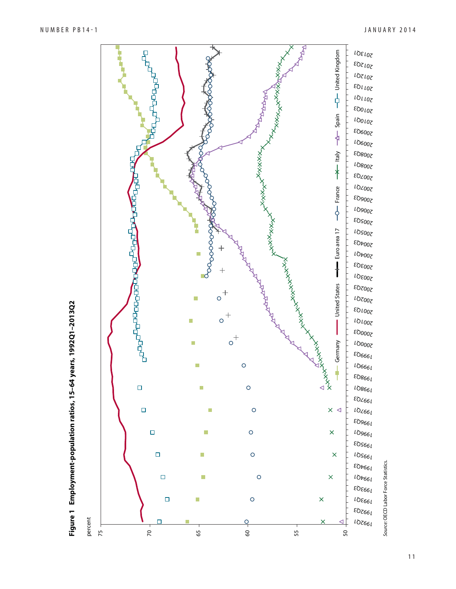

Figure 1 Employment-population ratios, 15-64 years, 1992Q1-2013Q2 **Figure 1 Employment-population ratios, 15–64 years, 1992Q1–2013Q2**

11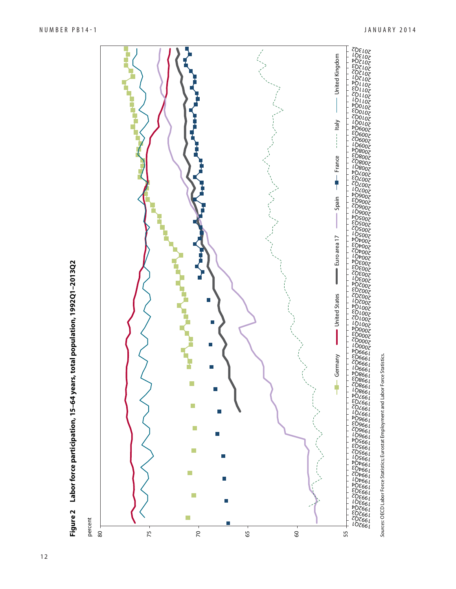

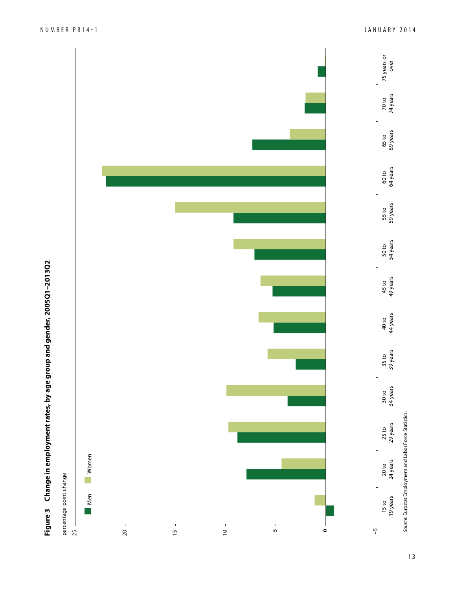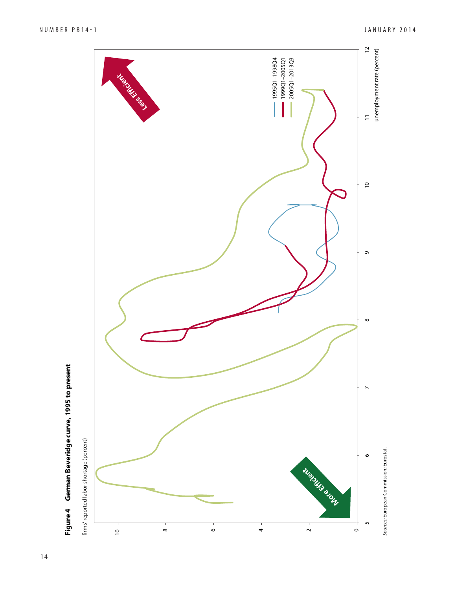



14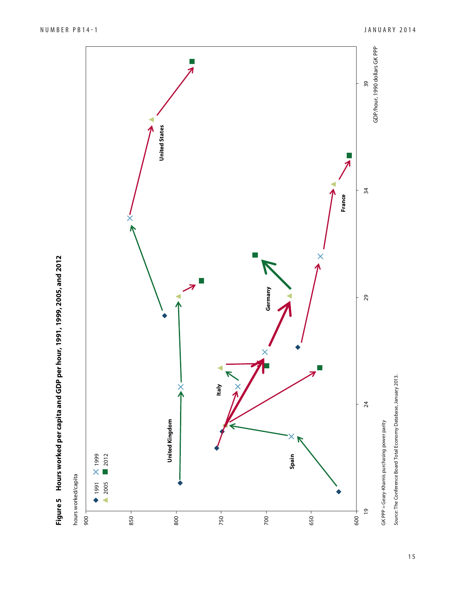

![](_page_14_Figure_3.jpeg)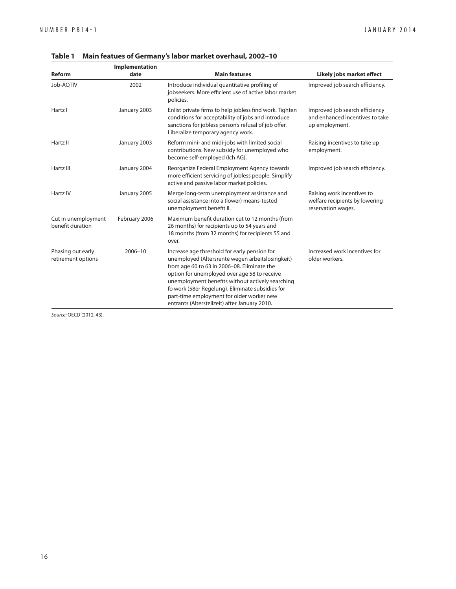|                                         | Implementation |                                                                                                                                                                                                                                                                                                                                                                                                       |                                                                                     |
|-----------------------------------------|----------------|-------------------------------------------------------------------------------------------------------------------------------------------------------------------------------------------------------------------------------------------------------------------------------------------------------------------------------------------------------------------------------------------------------|-------------------------------------------------------------------------------------|
| <b>Reform</b>                           | date           | <b>Main features</b>                                                                                                                                                                                                                                                                                                                                                                                  | Likely jobs market effect                                                           |
| Job-AOTIV                               | 2002           | Introduce individual quantitative profiling of<br>jobseekers. More efficient use of active labor market<br>policies.                                                                                                                                                                                                                                                                                  | Improved job search efficiency.                                                     |
| Hartz I                                 | January 2003   | Enlist private firms to help jobless find work. Tighten<br>conditions for acceptability of jobs and introduce<br>sanctions for jobless person's refusal of job offer.<br>Liberalize temporary agency work.                                                                                                                                                                                            | Improved job search efficiency<br>and enhanced incentives to take<br>up employment. |
| Hartz II                                | January 2003   | Reform mini- and midi-jobs with limited social<br>contributions. New subsidy for unemployed who<br>become self-employed (Ich AG).                                                                                                                                                                                                                                                                     | Raising incentives to take up<br>employment.                                        |
| Hartz III                               | January 2004   | Reorganize Federal Employment Agency towards<br>more efficient servicing of jobless people. Simplify<br>active and passive labor market policies.                                                                                                                                                                                                                                                     | Improved job search efficiency.                                                     |
| Hartz <sub>IV</sub>                     | January 2005   | Merge long-term unemployment assistance and<br>social assistance into a (lower) means-tested<br>unemployment benefit II.                                                                                                                                                                                                                                                                              | Raising work incentives to<br>welfare recipients by lowering<br>reservation wages.  |
| Cut in unemployment<br>benefit duration | February 2006  | Maximum benefit duration cut to 12 months (from<br>26 months) for recipients up to 54 years and<br>18 months (from 32 months) for recipients 55 and<br>over.                                                                                                                                                                                                                                          |                                                                                     |
| Phasing out early<br>retirement options | $2006 - 10$    | Increase age threshold for early pension for<br>unemployed (Altersrente wegen arbeitslosingkeit)<br>from age 60 to 63 in 2006-08. Eliminate the<br>option for unemployed over age 58 to receive<br>unemployment benefits without actively searching<br>fo work (58er Regelung). Eliminate subsidies for<br>part-time employment for older worker new<br>entrants (Altersteilzeit) after January 2010. | Increased work incentives for<br>older workers.                                     |

**Table 1 Main featues of Germany's labor market overhaul, 2002–10**

Source: OECD (2012, 43).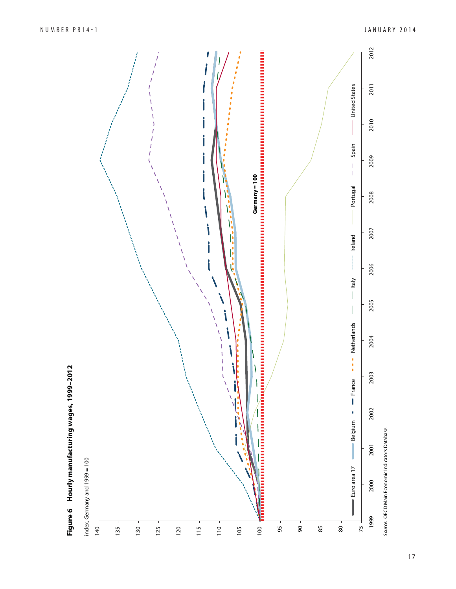![](_page_16_Figure_2.jpeg)

Figure 6 Hourly manufacturing wages, 1999-2012 **Figure 6 Hourly manufacturing wages, 1999–2012**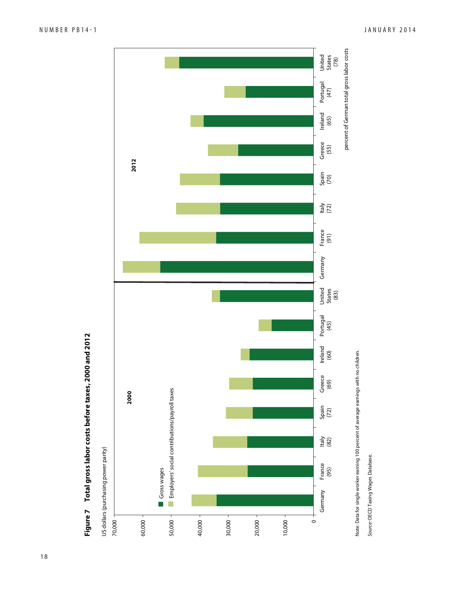![](_page_17_Figure_2.jpeg)

Note: Data for single worker earning 100 percent of average earnings with no children. Note: Data for single worker earning 100 percent of average earnings with no children.

Source: OECD Taxing Wages Database. Source: OECD Taxing Wages Database.

**Figure 7 Total gross labor costs before taxes, 2000 and 2012**

Figure 7 Total gross labor costs before taxes, 2000 and 2012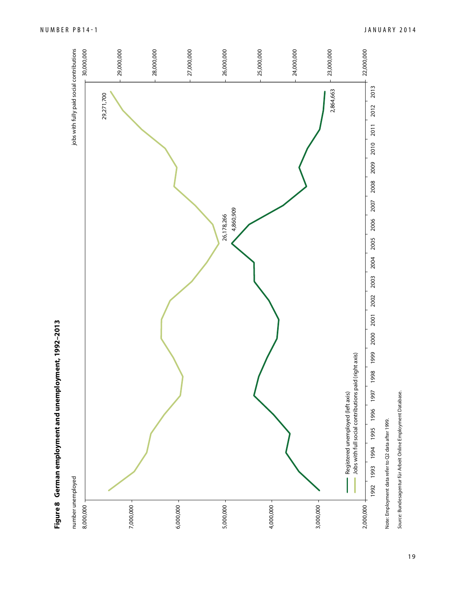![](_page_18_Figure_0.jpeg)

Figure 8 German employment and unemployment, 1992-2013 **Figure 8 German employment and unemployment, 1992–2013**

Note: Employment data refer to Q2 data after 1999. Note: Employment data refer to Q2 data after 1999.

Source: Bundesagentur für Arbeit Online Employment Database. *Source:* Bundesagentur für Arbeit Online Employment Database.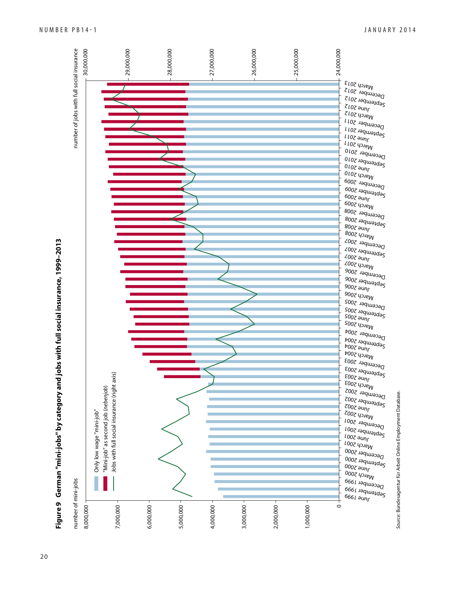![](_page_19_Figure_0.jpeg)

Figure 9 German "mini-jobs" by category and jobs with full social insurance, 1999–2013 **Figure 9 German "mini-jobs" by category and jobs with full social insurance, 1999–2013**

Source: Bundesagentur für Arbeit Online Employment Database.

Source: Bundesagentur für Arbeit Online Employment Database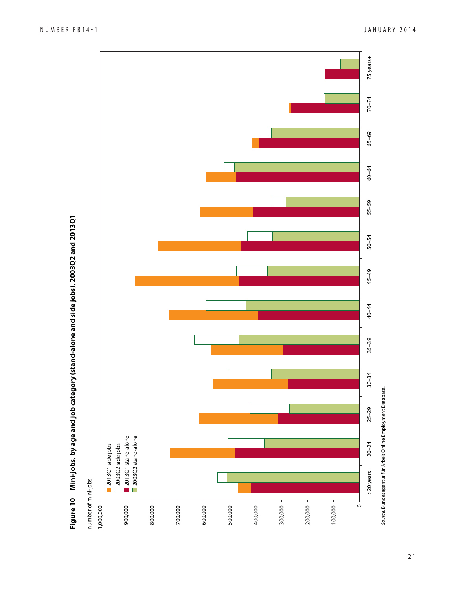![](_page_20_Figure_2.jpeg)

21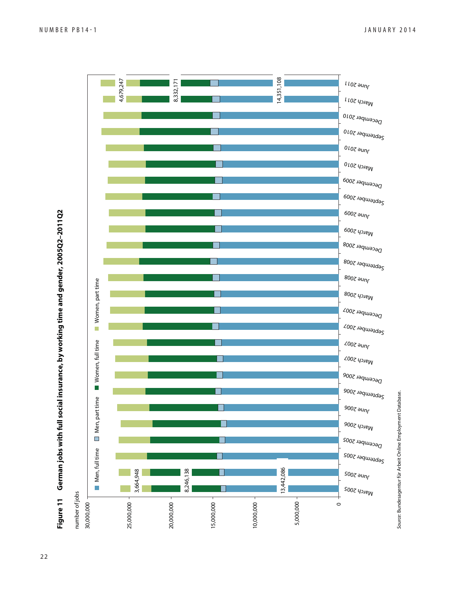![](_page_21_Figure_1.jpeg)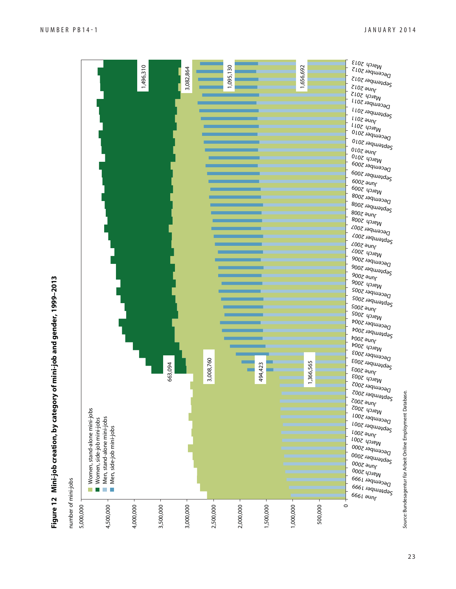![](_page_22_Figure_2.jpeg)

Figure 12 Mini-job creation, by category of mini-job and gender, 1999-2013 **Figure 12 Mini-job creation, by category of mini-job and gender, 1999–2013**

Source: Bundesagentur für Arbeit Online Employment Database. Source: Bundesagentur für Arbeit Online Employment Database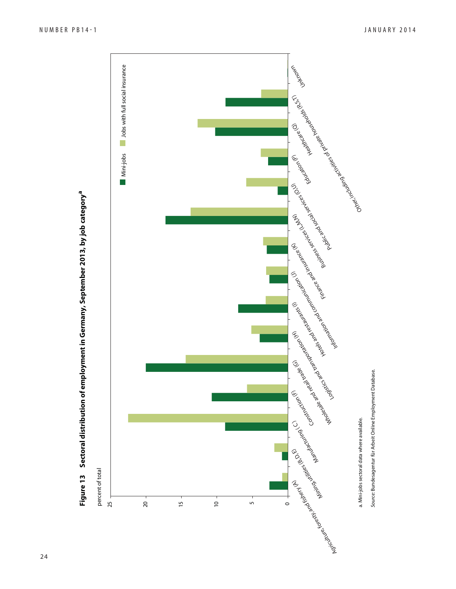![](_page_23_Figure_2.jpeg)

![](_page_23_Figure_3.jpeg)